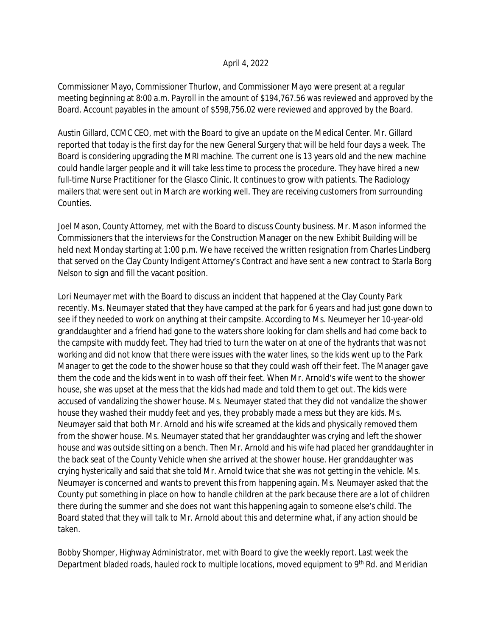## April 4, 2022

Commissioner Mayo, Commissioner Thurlow, and Commissioner Mayo were present at a regular meeting beginning at 8:00 a.m. Payroll in the amount of \$194,767.56 was reviewed and approved by the Board. Account payables in the amount of \$598,756.02 were reviewed and approved by the Board.

Austin Gillard, CCMC CEO, met with the Board to give an update on the Medical Center. Mr. Gillard reported that today is the first day for the new General Surgery that will be held four days a week. The Board is considering upgrading the MRI machine. The current one is 13 years old and the new machine could handle larger people and it will take less time to process the procedure. They have hired a new full-time Nurse Practitioner for the Glasco Clinic. It continues to grow with patients. The Radiology mailers that were sent out in March are working well. They are receiving customers from surrounding Counties.

Joel Mason, County Attorney, met with the Board to discuss County business. Mr. Mason informed the Commissioners that the interviews for the Construction Manager on the new Exhibit Building will be held next Monday starting at 1:00 p.m. We have received the written resignation from Charles Lindberg that served on the Clay County Indigent Attorney's Contract and have sent a new contract to Starla Borg Nelson to sign and fill the vacant position.

Lori Neumayer met with the Board to discuss an incident that happened at the Clay County Park recently. Ms. Neumayer stated that they have camped at the park for 6 years and had just gone down to see if they needed to work on anything at their campsite. According to Ms. Neumeyer her 10-year-old granddaughter and a friend had gone to the waters shore looking for clam shells and had come back to the campsite with muddy feet. They had tried to turn the water on at one of the hydrants that was not working and did not know that there were issues with the water lines, so the kids went up to the Park Manager to get the code to the shower house so that they could wash off their feet. The Manager gave them the code and the kids went in to wash off their feet. When Mr. Arnold's wife went to the shower house, she was upset at the mess that the kids had made and told them to get out. The kids were accused of vandalizing the shower house. Ms. Neumayer stated that they did not vandalize the shower house they washed their muddy feet and yes, they probably made a mess but they are kids. Ms. Neumayer said that both Mr. Arnold and his wife screamed at the kids and physically removed them from the shower house. Ms. Neumayer stated that her granddaughter was crying and left the shower house and was outside sitting on a bench. Then Mr. Arnold and his wife had placed her granddaughter in the back seat of the County Vehicle when she arrived at the shower house. Her granddaughter was crying hysterically and said that she told Mr. Arnold twice that she was not getting in the vehicle. Ms. Neumayer is concerned and wants to prevent this from happening again. Ms. Neumayer asked that the County put something in place on how to handle children at the park because there are a lot of children there during the summer and she does not want this happening again to someone else's child. The Board stated that they will talk to Mr. Arnold about this and determine what, if any action should be taken.

Bobby Shomper, Highway Administrator, met with Board to give the weekly report. Last week the Department bladed roads, hauled rock to multiple locations, moved equipment to 9<sup>th</sup> Rd. and Meridian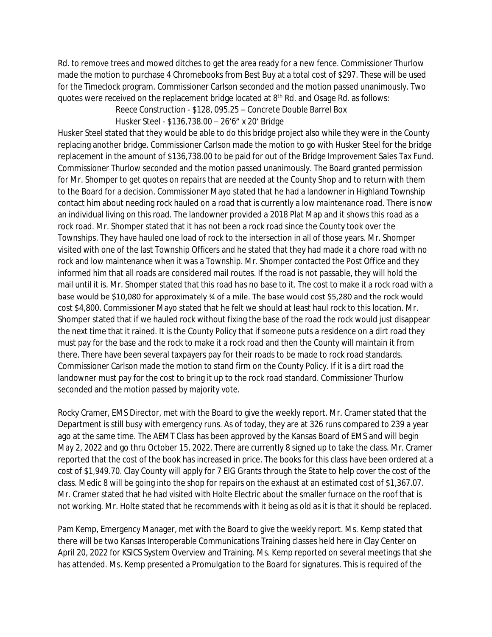Rd. to remove trees and mowed ditches to get the area ready for a new fence. Commissioner Thurlow made the motion to purchase 4 Chromebooks from Best Buy at a total cost of \$297. These will be used for the Timeclock program. Commissioner Carlson seconded and the motion passed unanimously. Two quotes were received on the replacement bridge located at 8th Rd. and Osage Rd. as follows:

Reece Construction - \$128, 095.25 – Concrete Double Barrel Box

Husker Steel - \$136,738.00 – 26'6" x 20' Bridge

Husker Steel stated that they would be able to do this bridge project also while they were in the County replacing another bridge. Commissioner Carlson made the motion to go with Husker Steel for the bridge replacement in the amount of \$136,738.00 to be paid for out of the Bridge Improvement Sales Tax Fund. Commissioner Thurlow seconded and the motion passed unanimously. The Board granted permission for Mr. Shomper to get quotes on repairs that are needed at the County Shop and to return with them to the Board for a decision. Commissioner Mayo stated that he had a landowner in Highland Township contact him about needing rock hauled on a road that is currently a low maintenance road. There is now an individual living on this road. The landowner provided a 2018 Plat Map and it shows this road as a rock road. Mr. Shomper stated that it has not been a rock road since the County took over the Townships. They have hauled one load of rock to the intersection in all of those years. Mr. Shomper visited with one of the last Township Officers and he stated that they had made it a chore road with no rock and low maintenance when it was a Township. Mr. Shomper contacted the Post Office and they informed him that all roads are considered mail routes. If the road is not passable, they will hold the mail until it is. Mr. Shomper stated that this road has no base to it. The cost to make it a rock road with a base would be \$10,080 for approximately ¾ of a mile. The base would cost \$5,280 and the rock would cost \$4,800. Commissioner Mayo stated that he felt we should at least haul rock to this location. Mr. Shomper stated that if we hauled rock without fixing the base of the road the rock would just disappear the next time that it rained. It is the County Policy that if someone puts a residence on a dirt road they must pay for the base and the rock to make it a rock road and then the County will maintain it from there. There have been several taxpayers pay for their roads to be made to rock road standards. Commissioner Carlson made the motion to stand firm on the County Policy. If it is a dirt road the landowner must pay for the cost to bring it up to the rock road standard. Commissioner Thurlow seconded and the motion passed by majority vote.

Rocky Cramer, EMS Director, met with the Board to give the weekly report. Mr. Cramer stated that the Department is still busy with emergency runs. As of today, they are at 326 runs compared to 239 a year ago at the same time. The AEMT Class has been approved by the Kansas Board of EMS and will begin May 2, 2022 and go thru October 15, 2022. There are currently 8 signed up to take the class. Mr. Cramer reported that the cost of the book has increased in price. The books for this class have been ordered at a cost of \$1,949.70. Clay County will apply for 7 EIG Grants through the State to help cover the cost of the class. Medic 8 will be going into the shop for repairs on the exhaust at an estimated cost of \$1,367.07. Mr. Cramer stated that he had visited with Holte Electric about the smaller furnace on the roof that is not working. Mr. Holte stated that he recommends with it being as old as it is that it should be replaced.

Pam Kemp, Emergency Manager, met with the Board to give the weekly report. Ms. Kemp stated that there will be two Kansas Interoperable Communications Training classes held here in Clay Center on April 20, 2022 for KSICS System Overview and Training. Ms. Kemp reported on several meetings that she has attended. Ms. Kemp presented a Promulgation to the Board for signatures. This is required of the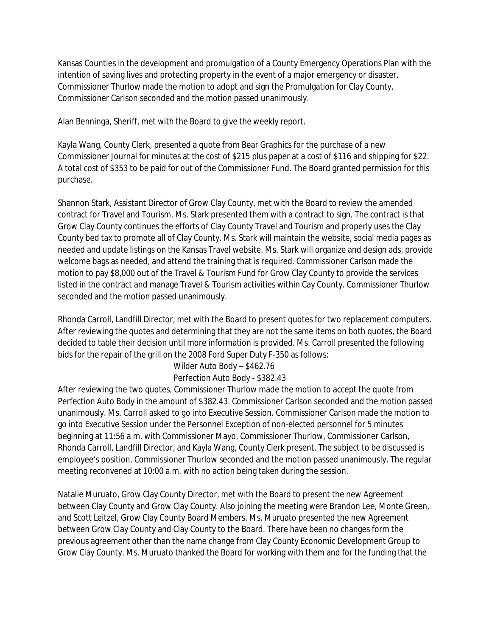Kansas Counties in the development and promulgation of a County Emergency Operations Plan with the intention of saving lives and protecting property in the event of a major emergency or disaster. Commissioner Thurlow made the motion to adopt and sign the Promulgation for Clay County. Commissioner Carlson seconded and the motion passed unanimously.

Alan Benninga, Sheriff, met with the Board to give the weekly report.

Kayla Wang, County Clerk, presented a quote from Bear Graphics for the purchase of a new Commissioner Journal for minutes at the cost of \$215 plus paper at a cost of \$116 and shipping for \$22. A total cost of \$353 to be paid for out of the Commissioner Fund. The Board granted permission for this purchase.

Shannon Stark, Assistant Director of Grow Clay County, met with the Board to review the amended contract for Travel and Tourism. Ms. Stark presented them with a contract to sign. The contract is that Grow Clay County continues the efforts of Clay County Travel and Tourism and properly uses the Clay County bed tax to promote all of Clay County. Ms. Stark will maintain the website, social media pages as needed and update listings on the Kansas Travel website. Ms. Stark will organize and design ads, provide welcome bags as needed, and attend the training that is required. Commissioner Carlson made the motion to pay \$8,000 out of the Travel & Tourism Fund for Grow Clay County to provide the services listed in the contract and manage Travel & Tourism activities within Cay County. Commissioner Thurlow seconded and the motion passed unanimously.

Rhonda Carroll, Landfill Director, met with the Board to present quotes for two replacement computers. After reviewing the quotes and determining that they are not the same items on both quotes, the Board decided to table their decision until more information is provided. Ms. Carroll presented the following bids for the repair of the grill on the 2008 Ford Super Duty F-350 as follows:

## Wilder Auto Body – \$462.76

## Perfection Auto Body - \$382.43

After reviewing the two quotes, Commissioner Thurlow made the motion to accept the quote from Perfection Auto Body in the amount of \$382.43. Commissioner Carlson seconded and the motion passed unanimously. Ms. Carroll asked to go into Executive Session. Commissioner Carlson made the motion to go into Executive Session under the Personnel Exception of non-elected personnel for 5 minutes beginning at 11:56 a.m. with Commissioner Mayo, Commissioner Thurlow, Commissioner Carlson, Rhonda Carroll, Landfill Director, and Kayla Wang, County Clerk present. The subject to be discussed is employee's position. Commissioner Thurlow seconded and the motion passed unanimously. The regular meeting reconvened at 10:00 a.m. with no action being taken during the session.

Natalie Muruato, Grow Clay County Director, met with the Board to present the new Agreement between Clay County and Grow Clay County. Also joining the meeting were Brandon Lee, Monte Green, and Scott Leitzel, Grow Clay County Board Members. Ms. Muruato presented the new Agreement between Grow Clay County and Clay County to the Board. There have been no changes form the previous agreement other than the name change from Clay County Economic Development Group to Grow Clay County. Ms. Muruato thanked the Board for working with them and for the funding that the